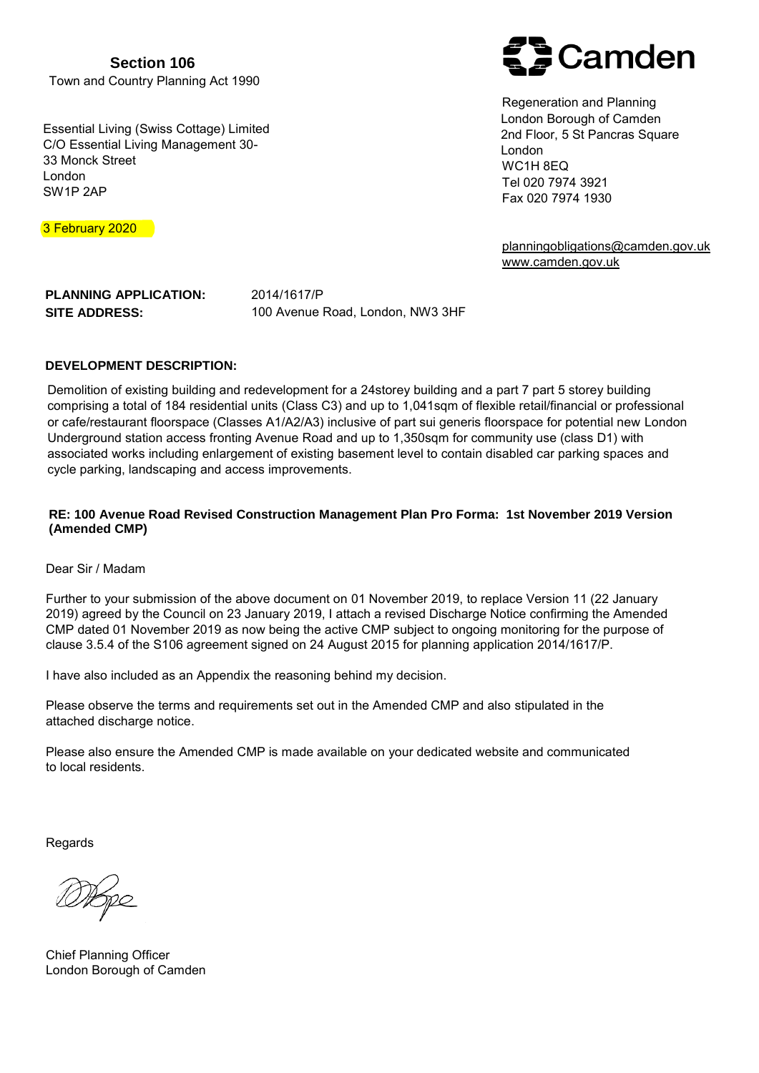**Section 106** Town and Country Planning Act 1990

Essential Living (Swiss Cottage) Limited C/O Essential Living Management 30- 33 Monck Street London SW1P 2AP



Regeneration and Planning London Borough of Camden 2nd Floor, 5 St Pancras Square London WC1H 8EQ Tel 020 7974 3921 Fax 020 7974 1930

[planningobligations@camden.gov.uk](mailto:planningobligations@camden.gov.uk) [www.camden.gov.uk](http://www.camden.gov.uk/cil)

3 February 2020

**PLANNING APPLICATION: SITE ADDRESS:** 2014/1617/P 100 Avenue Road, London, NW3 3HF

### **DEVELOPMENT DESCRIPTION:**

Demolition of existing building and redevelopment for a 24storey building and a part 7 part 5 storey building comprising a total of 184 residential units (Class C3) and up to 1,041sqm of flexible retail/financial or professional or cafe/restaurant floorspace (Classes A1/A2/A3) inclusive of part sui generis floorspace for potential new London Underground station access fronting Avenue Road and up to 1,350sqm for community use (class D1) with associated works including enlargement of existing basement level to contain disabled car parking spaces and cycle parking, landscaping and access improvements.

### **RE: 100 Avenue Road Revised Construction Management Plan Pro Forma: 1st November 2019 Version (Amended CMP)**

Dear Sir / Madam

Further to your submission of the above document on 01 November 2019, to replace Version 11 (22 January 2019) agreed by the Council on 23 January 2019, I attach a revised Discharge Notice confirming the Amended CMP dated 01 November 2019 as now being the active CMP subject to ongoing monitoring for the purpose of clause 3.5.4 of the S106 agreement signed on 24 August 2015 for planning application 2014/1617/P.

I have also included as an Appendix the reasoning behind my decision.

Please observe the terms and requirements set out in the Amended CMP and also stipulated in the attached discharge notice.

Please also ensure the Amended CMP is made available on your dedicated website and communicated to local residents.

Regards

Chief Planning Officer London Borough of Camden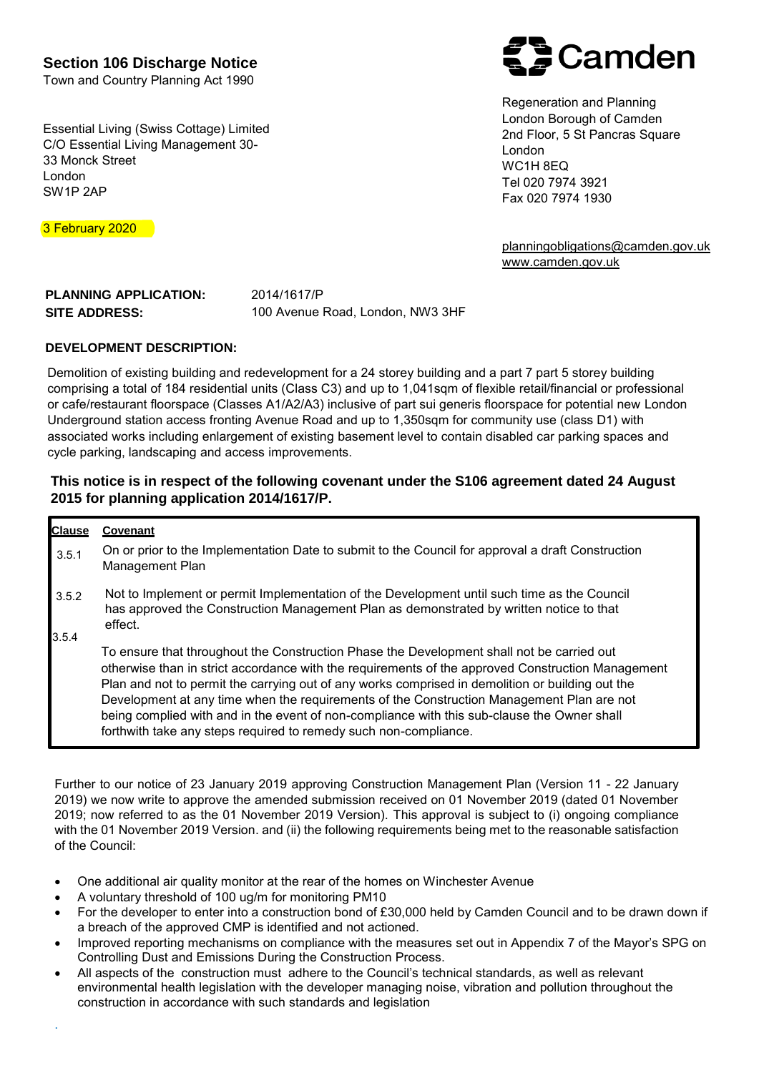**Section 106 Discharge Notice**

Town and Country Planning Act 1990

Essential Living (Swiss Cottage) Limited C/O Essential Living Management 30- 33 Monck Street London SW1P 2AP

**Camden** 

Regeneration and Planning London Borough of Camden 2nd Floor, 5 St Pancras Square London WC1H 8EQ Tel 020 7974 3921 Fax 020 7974 1930

[planningobligations@camden.gov.uk](mailto:planningobligations@camden.gov.uk) [www.camden.gov.uk](http://www.camden.gov.uk/cil)

**PLANNING APPLICATION: SITE ADDRESS:** 2014/1617/P 100 Avenue Road, London, NW3 3HF

### **DEVELOPMENT DESCRIPTION:**

Demolition of existing building and redevelopment for a 24 storey building and a part 7 part 5 storey building comprising a total of 184 residential units (Class C3) and up to 1,041sqm of flexible retail/financial or professional or cafe/restaurant floorspace (Classes A1/A2/A3) inclusive of part sui generis floorspace for potential new London Underground station access fronting Avenue Road and up to 1,350sqm for community use (class D1) with associated works including enlargement of existing basement level to contain disabled car parking spaces and cycle parking, landscaping and access improvements.

## **This notice is in respect of the following covenant under the S106 agreement dated 24 August 2015 for planning application 2014/1617/P.**

| <b>Clause</b>  | Covenant                                                                                                                                                                                                                                                                                                                                                                                                                                                                                                                                                           |
|----------------|--------------------------------------------------------------------------------------------------------------------------------------------------------------------------------------------------------------------------------------------------------------------------------------------------------------------------------------------------------------------------------------------------------------------------------------------------------------------------------------------------------------------------------------------------------------------|
| 3.5.1          | On or prior to the Implementation Date to submit to the Council for approval a draft Construction<br>Management Plan                                                                                                                                                                                                                                                                                                                                                                                                                                               |
| 3.5.2<br>3.5.4 | Not to Implement or permit Implementation of the Development until such time as the Council<br>has approved the Construction Management Plan as demonstrated by written notice to that<br>effect.                                                                                                                                                                                                                                                                                                                                                                  |
|                | To ensure that throughout the Construction Phase the Development shall not be carried out<br>otherwise than in strict accordance with the requirements of the approved Construction Management<br>Plan and not to permit the carrying out of any works comprised in demolition or building out the<br>Development at any time when the requirements of the Construction Management Plan are not<br>being complied with and in the event of non-compliance with this sub-clause the Owner shall<br>forthwith take any steps required to remedy such non-compliance. |

[Further to our notice of 23 January 2019 a](mailto:planningobligations@camden.gov.uk)pproving Construction Management Plan (Version 11 - 22 January 2019) we now write to approve the amended submission received on 01 November 2019 (dated 01 November 2019; now referred to as the 01 November 2019 Version). This approval is subject to (i) ongoing compliance with the 01 November 2019 Version. and (ii) the following requirements being met to the reasonable satisfaction of the Council:

- One additional air quality monitor at the rear of the homes on Winchester Avenue
- A voluntary threshold of 100 ug/m for monitoring PM10
- For the developer to enter into a construction bond of £30,000 held by Camden Council and to be drawn down if a breach of the approved CMP is identified and not actioned.
- Improved reporting mechanisms on compliance with the measures set out in Appendix 7 of the Mayor's SPG on Controlling Dust and Emissions During the Construction Process.
- All aspects of the construction must adhere to the Council's technical standards, as well as relevant environmental health legislation with the developer managing noise, vibration and pollution throughout the construction in accordance with such standards and legislation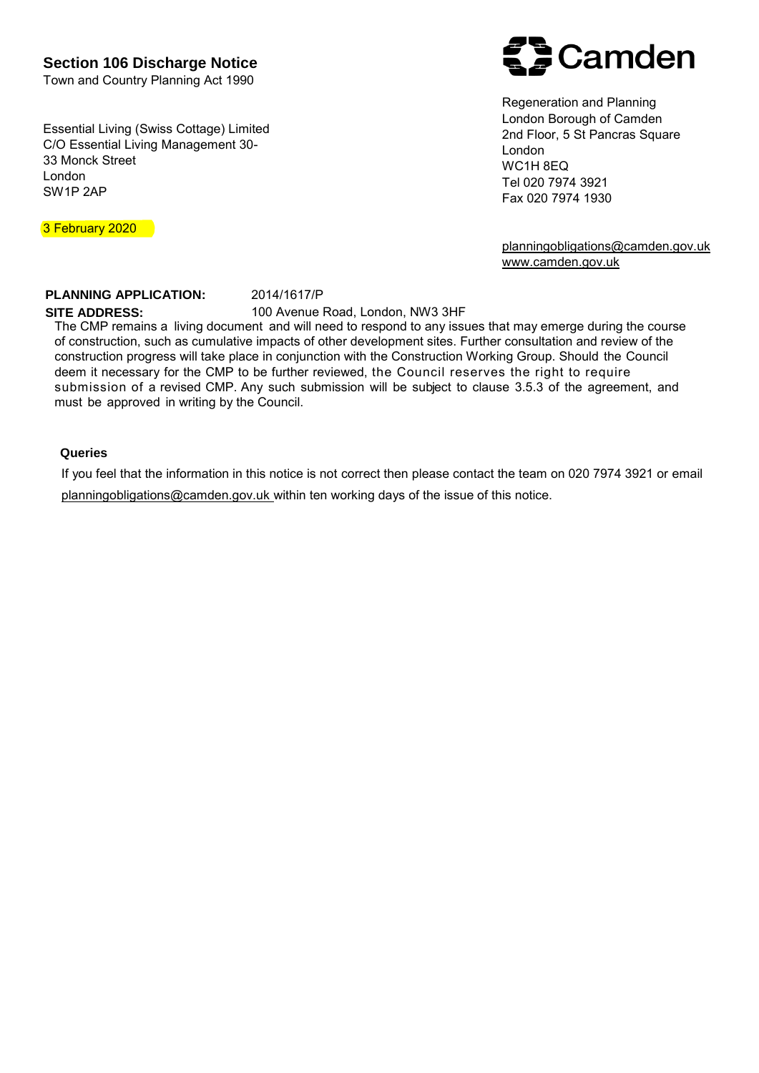**Section 106 Discharge Notice**

Town and Country Planning Act 1990

Essential Living (Swiss Cottage) Limited C/O Essential Living Management 30- 33 Monck Street London SW1P 2AP



Regeneration and Planning London Borough of Camden 2nd Floor, 5 St Pancras Square London WC1H 8EQ Tel 020 7974 3921 Fax 020 7974 1930

[planningobligations@camden.gov.uk](mailto:planningobligations@camden.gov.uk) [www.camden.gov.uk](http://www.camden.gov.uk/cil)

3 February 2020

#### **PLANNING APPLICATION: SITE ADDRESS:**

2014/1617/P

100 Avenue Road, London, NW3 3HF

The CMP remains a living document and will need to respond to any issues that may emerge during the course of construction, such as cumulative impacts of other development sites. Further consultation and review of the construction progress will take place in conjunction with the Construction Working Group. Should the Council deem it necessary for the CMP to be further reviewed, the Council reserves the right to require submission of a revised CMP. Any such submission will be subject to clause 3.5.3 of the agreement, and must be approved in writing by the Council.

### **Queries**

If you feel that the information in this notice is not correct then please contact the team on 020 7974 3921 or email [planningobligations@camden.gov.uk](mailto:planningobligations@camden.gov.uk) within ten working days of the issue of this notice.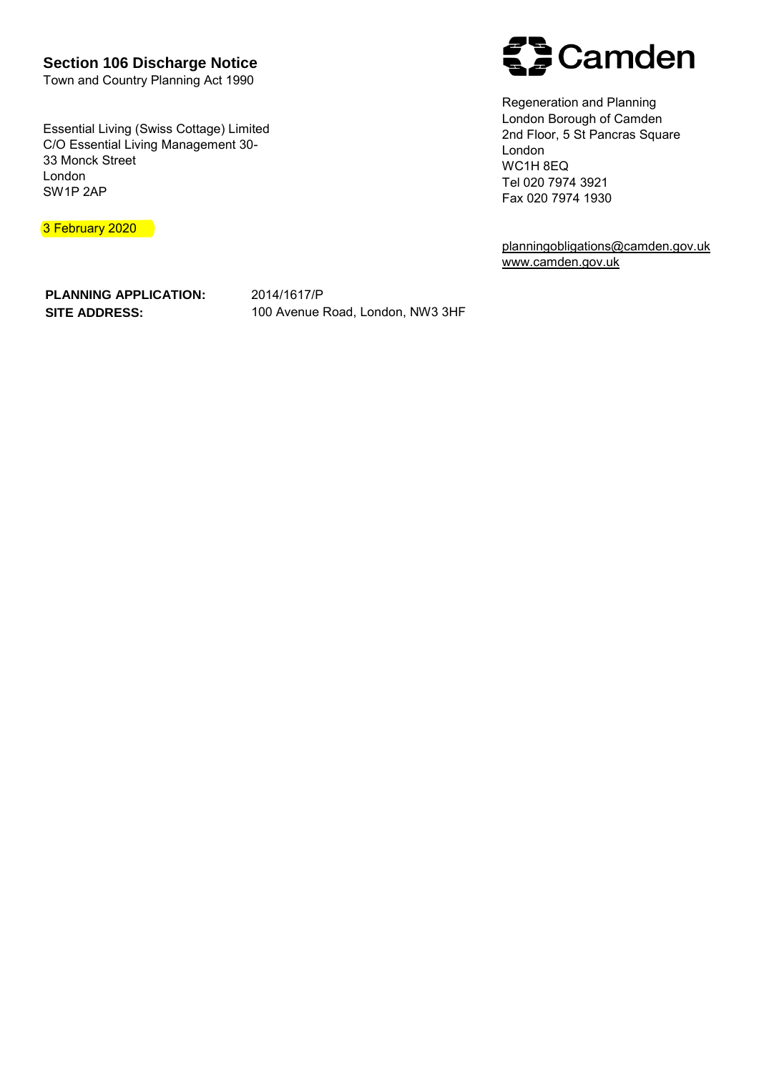**Section 106 Discharge Notice**

Town and Country Planning Act 1990

Essential Living (Swiss Cottage) Limited C/O Essential Living Management 30- 33 Monck Street London SW1P 2AP

3 February 2020



Regeneration and Planning London Borough of Camden 2nd Floor, 5 St Pancras Square London WC1H 8EQ Tel 020 7974 3921 Fax 020 7974 1930

[planningobligations@camden.gov.uk](mailto:planningobligations@camden.gov.uk) [www.camden.gov.uk](http://www.camden.gov.uk/cil)

**PLANNING APPLICATION: SITE ADDRESS:**

2014/1617/P 100 Avenue Road, London, NW3 3HF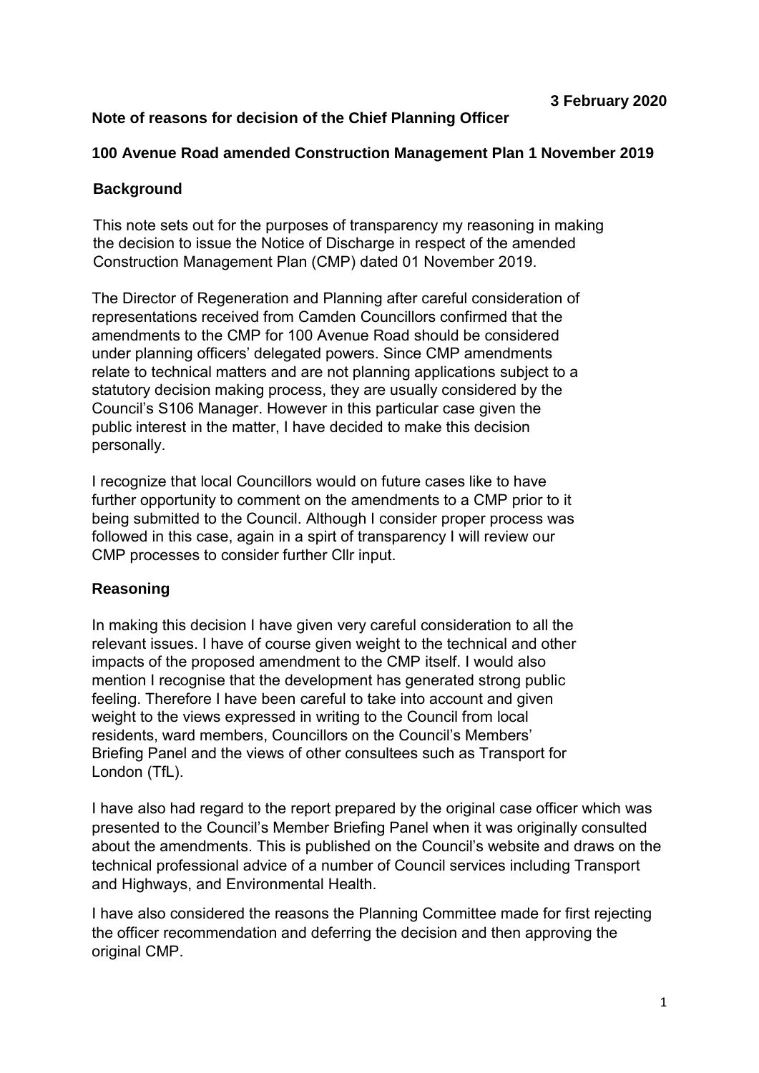# **Note of reasons for decision of the Chief Planning Officer**

## **100 Avenue Road amended Construction Management Plan 1 November 2019**

# **Background**

This note sets out for the purposes of transparency my reasoning in making the decision to issue the Notice of Discharge in respect of the amended Construction Management Plan (CMP) dated 01 November 2019.

The Director of Regeneration and Planning after careful consideration of representations received from Camden Councillors confirmed that the amendments to the CMP for 100 Avenue Road should be considered under planning officers' delegated powers. Since CMP amendments relate to technical matters and are not planning applications subject to a statutory decision making process, they are usually considered by the Council's S106 Manager. However in this particular case given the public interest in the matter, I have decided to make this decision personally.

I recognize that local Councillors would on future cases like to have further opportunity to comment on the amendments to a CMP prior to it being submitted to the Council. Although I consider proper process was followed in this case, again in a spirt of transparency I will review our CMP processes to consider further Cllr input.

## **Reasoning**

In making this decision I have given very careful consideration to all the relevant issues. I have of course given weight to the technical and other impacts of the proposed amendment to the CMP itself. I would also mention I recognise that the development has generated strong public feeling. Therefore I have been careful to take into account and given weight to the views expressed in writing to the Council from local residents, ward members, Councillors on the Council's Members' Briefing Panel and the views of other consultees such as Transport for London (TfL).

I have also had regard to the report prepared by the original case officer which was presented to the Council's Member Briefing Panel when it was originally consulted about the amendments. This is published on the Council's website and draws on the technical professional advice of a number of Council services including Transport and Highways, and Environmental Health.

I have also considered the reasons the Planning Committee made for first rejecting the officer recommendation and deferring the decision and then approving the original CMP.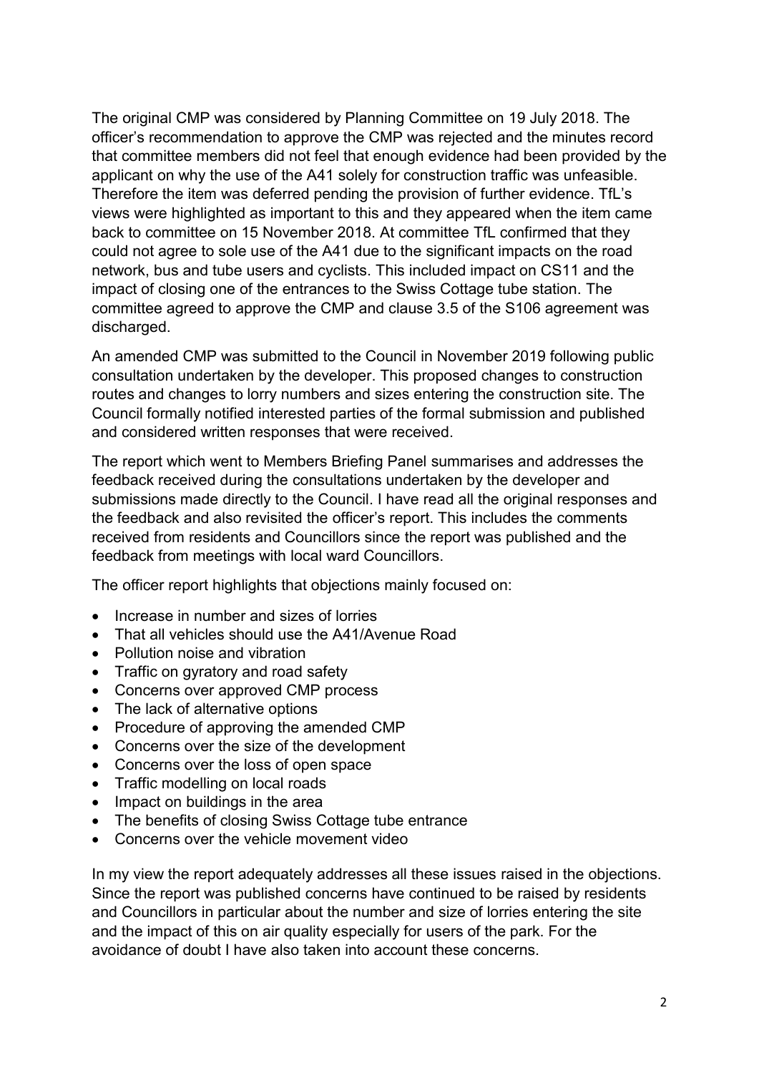The original CMP was considered by Planning Committee on 19 July 2018. The officer's recommendation to approve the CMP was rejected and the minutes record that committee members did not feel that enough evidence had been provided by the applicant on why the use of the A41 solely for construction traffic was unfeasible. Therefore the item was deferred pending the provision of further evidence. TfL's views were highlighted as important to this and they appeared when the item came back to committee on 15 November 2018. At committee TfL confirmed that they could not agree to sole use of the A41 due to the significant impacts on the road network, bus and tube users and cyclists. This included impact on CS11 and the impact of closing one of the entrances to the Swiss Cottage tube station. The committee agreed to approve the CMP and clause 3.5 of the S106 agreement was discharged.

An amended CMP was submitted to the Council in November 2019 following public consultation undertaken by the developer. This proposed changes to construction routes and changes to lorry numbers and sizes entering the construction site. The Council formally notified interested parties of the formal submission and published and considered written responses that were received.

The report which went to Members Briefing Panel summarises and addresses the feedback received during the consultations undertaken by the developer and submissions made directly to the Council. I have read all the original responses and the feedback and also revisited the officer's report. This includes the comments received from residents and Councillors since the report was published and the feedback from meetings with local ward Councillors.

The officer report highlights that objections mainly focused on:

- Increase in number and sizes of lorries
- That all vehicles should use the A41/Avenue Road
- Pollution noise and vibration
- Traffic on gyratory and road safety
- Concerns over approved CMP process
- The lack of alternative options
- Procedure of approving the amended CMP
- Concerns over the size of the development
- Concerns over the loss of open space
- Traffic modelling on local roads
- Impact on buildings in the area
- The benefits of closing Swiss Cottage tube entrance
- Concerns over the vehicle movement video

In my view the report adequately addresses all these issues raised in the objections. Since the report was published concerns have continued to be raised by residents and Councillors in particular about the number and size of lorries entering the site and the impact of this on air quality especially for users of the park. For the avoidance of doubt I have also taken into account these concerns.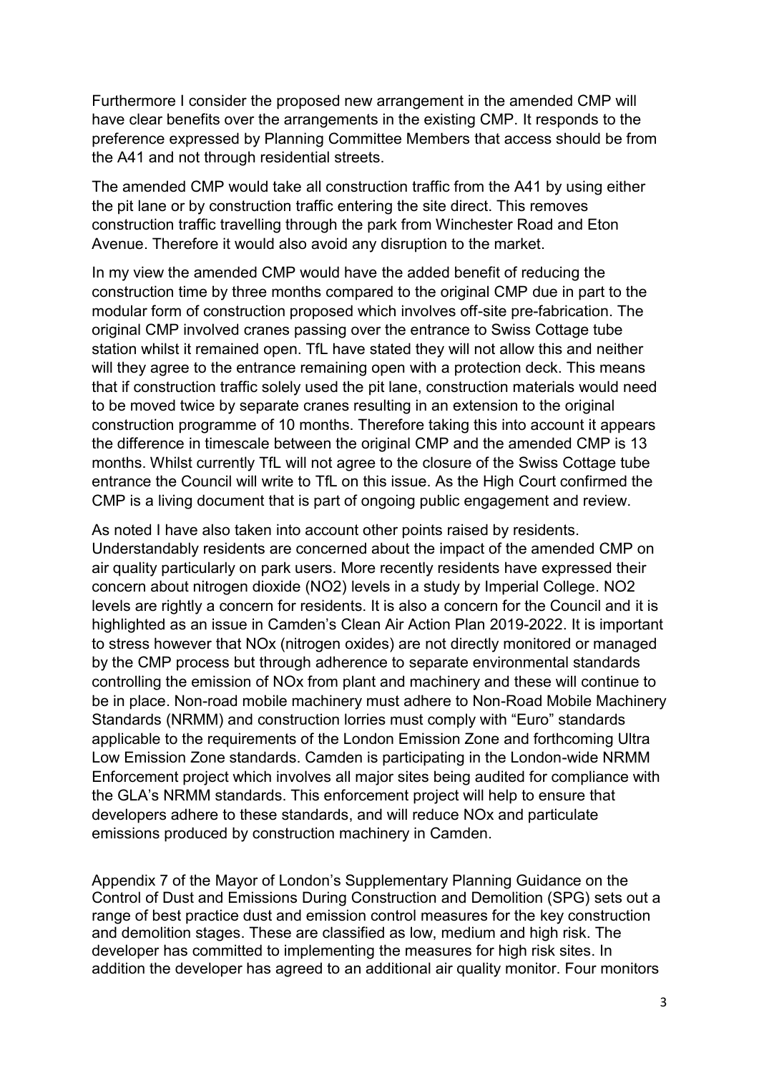Furthermore I consider the proposed new arrangement in the amended CMP will have clear benefits over the arrangements in the existing CMP. It responds to the preference expressed by Planning Committee Members that access should be from the A41 and not through residential streets.

The amended CMP would take all construction traffic from the A41 by using either the pit lane or by construction traffic entering the site direct. This removes construction traffic travelling through the park from Winchester Road and Eton Avenue. Therefore it would also avoid any disruption to the market.

In my view the amended CMP would have the added benefit of reducing the construction time by three months compared to the original CMP due in part to the modular form of construction proposed which involves off-site pre-fabrication. The original CMP involved cranes passing over the entrance to Swiss Cottage tube station whilst it remained open. TfL have stated they will not allow this and neither will they agree to the entrance remaining open with a protection deck. This means that if construction traffic solely used the pit lane, construction materials would need to be moved twice by separate cranes resulting in an extension to the original construction programme of 10 months. Therefore taking this into account it appears the difference in timescale between the original CMP and the amended CMP is 13 months. Whilst currently TfL will not agree to the closure of the Swiss Cottage tube entrance the Council will write to TfL on this issue. As the High Court confirmed the CMP is a living document that is part of ongoing public engagement and review.

As noted I have also taken into account other points raised by residents. Understandably residents are concerned about the impact of the amended CMP on air quality particularly on park users. More recently residents have expressed their concern about nitrogen dioxide (NO2) levels in a study by Imperial College. NO2 levels are rightly a concern for residents. It is also a concern for the Council and it is highlighted as an issue in Camden's Clean Air Action Plan 2019-2022. It is important to stress however that NOx (nitrogen oxides) are not directly monitored or managed by the CMP process but through adherence to separate environmental standards controlling the emission of NOx from plant and machinery and these will continue to be in place. Non-road mobile machinery must adhere to Non-Road Mobile Machinery Standards (NRMM) and construction lorries must comply with "Euro" standards applicable to the requirements of the London Emission Zone and forthcoming Ultra Low Emission Zone standards. Camden is participating in the London-wide NRMM Enforcement project which involves all major sites being audited for compliance with the GLA's NRMM standards. This enforcement project will help to ensure that developers adhere to these standards, and will reduce NOx and particulate emissions produced by construction machinery in Camden.

Appendix 7 of the Mayor of London's Supplementary Planning Guidance on the Control of Dust and Emissions During Construction and Demolition (SPG) sets out a range of best practice dust and emission control measures for the key construction and demolition stages. These are classified as low, medium and high risk. The developer has committed to implementing the measures for high risk sites. In addition the developer has agreed to an additional air quality monitor. Four monitors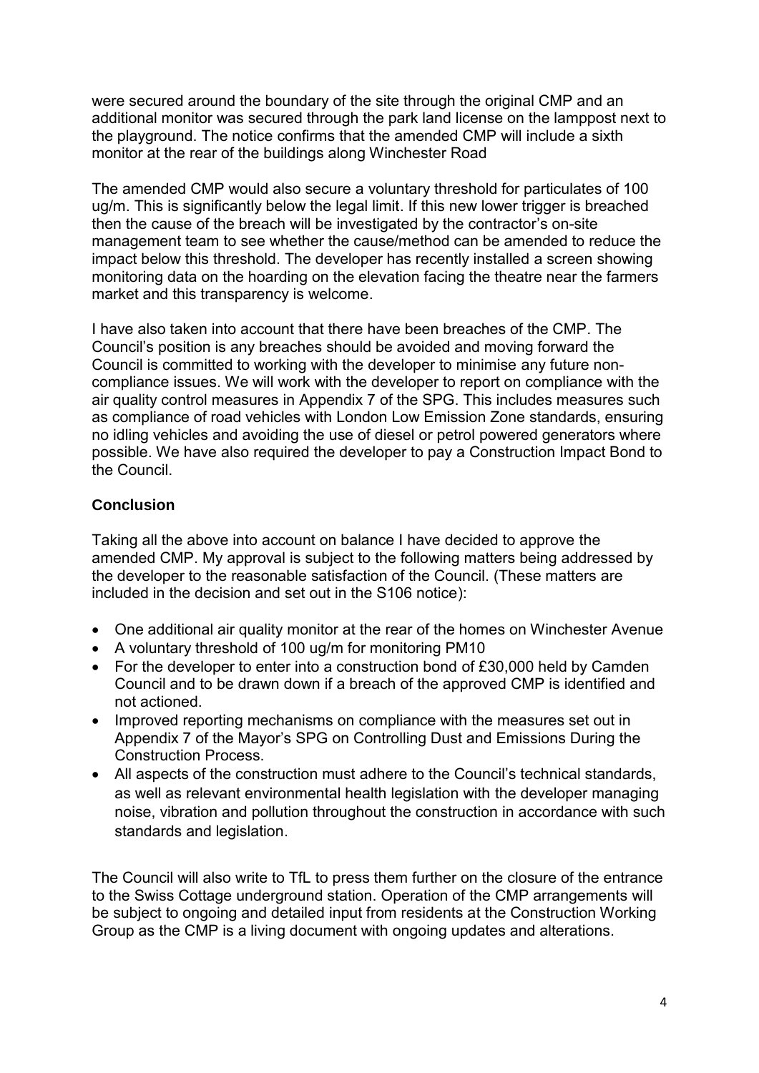were secured around the boundary of the site through the original CMP and an additional monitor was secured through the park land license on the lamppost next to the playground. The notice confirms that the amended CMP will include a sixth monitor at the rear of the buildings along Winchester Road

The amended CMP would also secure a voluntary threshold for particulates of 100 ug/m. This is significantly below the legal limit. If this new lower trigger is breached then the cause of the breach will be investigated by the contractor's on-site management team to see whether the cause/method can be amended to reduce the impact below this threshold. The developer has recently installed a screen showing monitoring data on the hoarding on the elevation facing the theatre near the farmers market and this transparency is welcome.

I have also taken into account that there have been breaches of the CMP. The Council's position is any breaches should be avoided and moving forward the Council is committed to working with the developer to minimise any future noncompliance issues. We will work with the developer to report on compliance with the air quality control measures in Appendix 7 of the SPG. This includes measures such as compliance of road vehicles with London Low Emission Zone standards, ensuring no idling vehicles and avoiding the use of diesel or petrol powered generators where possible. We have also required the developer to pay a Construction Impact Bond to the Council.

# **Conclusion**

Taking all the above into account on balance I have decided to approve the amended CMP. My approval is subject to the following matters being addressed by the developer to the reasonable satisfaction of the Council. (These matters are included in the decision and set out in the S106 notice):

- One additional air quality monitor at the rear of the homes on Winchester Avenue
- A voluntary threshold of 100 ug/m for monitoring PM10
- For the developer to enter into a construction bond of £30,000 held by Camden Council and to be drawn down if a breach of the approved CMP is identified and not actioned.
- Improved reporting mechanisms on compliance with the measures set out in Appendix 7 of the Mayor's SPG on Controlling Dust and Emissions During the Construction Process.
- All aspects of the construction must adhere to the Council's technical standards, as well as relevant environmental health legislation with the developer managing noise, vibration and pollution throughout the construction in accordance with such standards and legislation.

The Council will also write to TfL to press them further on the closure of the entrance to the Swiss Cottage underground station. Operation of the CMP arrangements will be subject to ongoing and detailed input from residents at the Construction Working Group as the CMP is a living document with ongoing updates and alterations.